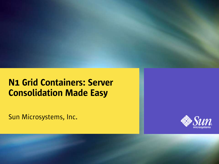#### N1 Grid Containers: Server Consolidation Made Easy

Sun Microsystems, Inc.



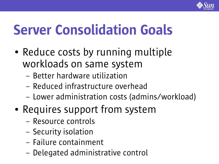

# Server Consolidation Goals

- Reduce costs by running multiple workloads on same system
	- Better hardware utilization
	- Reduced infrastructure overhead
	- Lower administration costs (admins/workload)
- Requires support from system
	- Resource controls
	- Security isolation
	- Failure containment
	- Delegated administrative control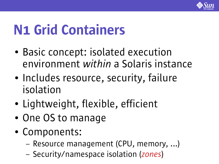

# N1 Grid Containers

- Basic concept: isolated execution environment *within* a Solaris instance
- Includes resource, security, failure isolation
- Lightweight, flexible, efficient
- One OS to manage
- Components:
	- Resource management (CPU, memory, ...)
	- Security/namespace isolation (*zones*)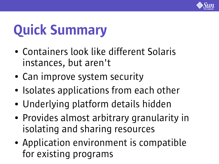

# Quick Summary

- Containers look like different Solaris instances, but aren't
- Can improve system security
- Isolates applications from each other
- Underlying platform details hidden
- Provides almost arbitrary granularity in isolating and sharing resources
- Application environment is compatible for existing programs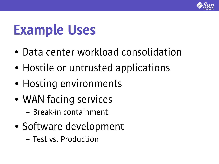

## Example Uses

- Data center workload consolidation
- Hostile or untrusted applications
- Hosting environments
- WAN-facing services
	- Break-in containment
- Software development
	- Test vs. Production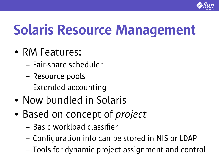

# Solaris Resource Management

- RM Features:
	- Fair-share scheduler
	- Resource pools
	- Extended accounting
- Now bundled in Solaris
- Based on concept of *project* 
	- Basic workload classifier
	- Configuration info can be stored in NIS or LDAP
	- Tools for dynamic project assignment and control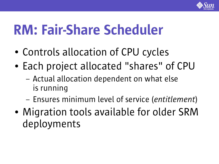

# RM: Fair-Share Scheduler

- Controls allocation of CPU cycles
- Each project allocated "shares" of CPU
	- Actual allocation dependent on what else is running
	- Ensures minimum level of service (*entitlement*)
- Migration tools available for older SRM deployments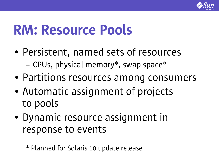

## RM: Resource Pools

- Persistent, named sets of resources – CPUs, physical memory\*, swap space\*
- Partitions resources among consumers
- Automatic assignment of projects to pools
- Dynamic resource assignment in response to events

\* Planned for Solaris 10 update release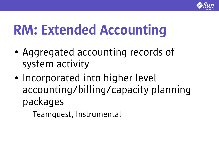

# RM: Extended Accounting

- Aggregated accounting records of system activity
- Incorporated into higher level accounting/billing/capacity planning packages
	- Teamquest, Instrumental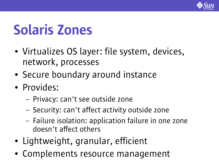

# Solaris Zones

- Virtualizes OS layer: file system, devices, network, processes
- Secure boundary around instance
- Provides:
	- Privacy: can't see outside zone
	- Security: can't affect activity outside zone
	- Failure isolation: application failure in one zone doesn't affect others
- Lightweight, granular, efficient
- Complements resource management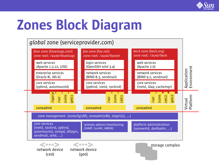

# Zones Block Diagram

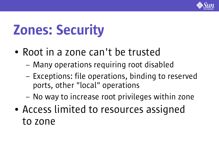

# Zones: Security

- Root in a zone can't be trusted
	- Many operations requiring root disabled
	- Exceptions: file operations, binding to reserved ports, other "local" operations
	- No way to increase root privileges within zone
- Access limited to resources assigned to zone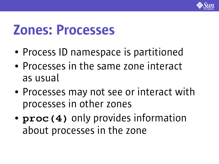

## Zones: Processes

- Process ID namespace is partitioned
- Processes in the same zone interact as usual
- Processes may not see or interact with processes in other zones
- **proc(4)** only provides information about processes in the zone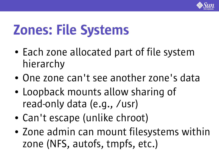

# Zones: File Systems

- Each zone allocated part of file system hierarchy
- One zone can't see another zone's data
- Loopback mounts allow sharing of read-only data (e.g., /usr)
- Can't escape (unlike chroot)
- Zone admin can mount filesystems within zone (NFS, autofs, tmpfs, etc.)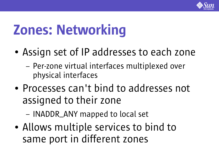

# Zones: Networking

- Assign set of IP addresses to each zone
	- Per-zone virtual interfaces multiplexed over physical interfaces
- Processes can't bind to addresses not assigned to their zone
	- INADDR\_ANY mapped to local set
- Allows multiple services to bind to same port in different zones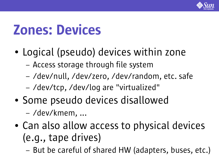

## Zones: Devices

- Logical (pseudo) devices within zone
	- Access storage through file system
	- /dev/null, /dev/zero, /dev/random, etc. safe
	- /dev/tcp, /dev/log are "virtualized"
- Some pseudo devices disallowed – /dev/kmem, ...
- Can also allow access to physical devices (e.g., tape drives)
	- But be careful of shared HW (adapters, buses, etc.)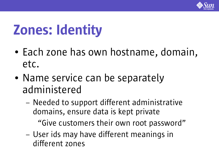

# Zones: Identity

- Each zone has own hostname, domain, etc.
- Name service can be separately administered
	- Needed to support different administrative domains, ensure data is kept private "Give customers their own root password"
	- User ids may have different meanings in different zones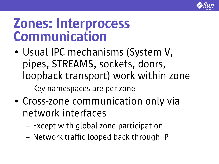

#### Zones: Interprocess Communication

- Usual IPC mechanisms (System V, pipes, STREAMS, sockets, doors, loopback transport) work within zone
	- Key namespaces are per-zone
- Cross-zone communication only via network interfaces
	- Except with global zone participation
	- Network traffic looped back through IP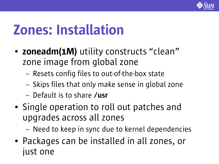

## Zones: Installation

- zoneadm(1M) utility constructs "clean" zone image from global zone
	- Resets config files to out-of-the-box state
	- Skips files that only make sense in global zone
	- Default is to share /usr
- Single operation to roll out patches and upgrades across all zones

– Need to keep in sync due to kernel dependencies

• Packages can be installed in all zones, or just one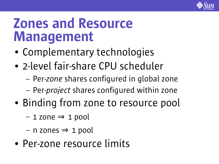

## Zones and Resource Management

- Complementary technologies
- 2-level fair-share CPU scheduler
	- Per-*zone* shares configured in global zone
	- Per-*project* shares configured within zone
- Binding from zone to resource pool
	- 1 zone ⇒ 1 pool
	- $-$  n zones  $\Rightarrow$  1 pool
- Per-zone resource limits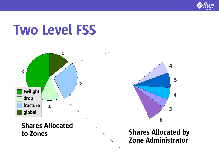

## Two Level FSS



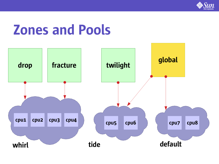

## Zones and Pools

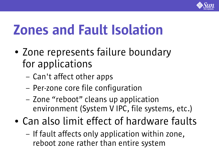

# Zones and Fault Isolation

- Zone represents failure boundary for applications
	- Can't affect other apps
	- Per-zone core file configuration
	- Zone "reboot" cleans up application environment (System V IPC, file systems, etc.)
- Can also limit effect of hardware faults
	- If fault affects only application within zone, reboot zone rather than entire system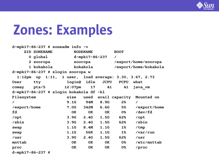

| d-mpk17-86-237 $#$ zoneadm info -v      |                                                        |             |                 |             |                       |              |  |  |
|-----------------------------------------|--------------------------------------------------------|-------------|-----------------|-------------|-----------------------|--------------|--|--|
|                                         | ZID ZONENAME                                           |             | <b>NODENAME</b> |             | <b>ROOT</b>           |              |  |  |
|                                         | 0 global                                               |             | d-mpk17-86-237  |             | $\prime$              |              |  |  |
|                                         | 2 zooropa                                              |             | zooropa         |             | /export/home/zooropa  |              |  |  |
|                                         | 1 kokakola                                             |             |                 |             | /export/home/kokakola |              |  |  |
| d-mpk17-86-237 # zlogin zooropa w       |                                                        |             |                 |             |                       |              |  |  |
|                                         | 1:12pm up 1:11, 1 user, load average: 3.30, 3.67, 2.73 |             |                 |             |                       |              |  |  |
| User                                    | tty                                                    | login@ idle |                 | <b>JCPU</b> | <b>PCPU</b>           | what         |  |  |
| comay                                   | pts/5                                                  | $12:07$ pm  | 17              | 41          | 41                    | java vm      |  |  |
| d-mpk17-86-237 # zlogin kokakola df -hl |                                                        |             |                 |             |                       |              |  |  |
| Filesystem                              |                                                        | size        | used            |             | avail capacity        | Mounted on   |  |  |
| $\prime$                                |                                                        | 9.1G        | 94M             | 8.9G        | 2%                    | $\prime$     |  |  |
| /export/home                            |                                                        | 7.0G        | <b>342M</b>     | 6.6G        | 5%                    | /export/home |  |  |
| fd                                      |                                                        | 0K          | 0K              | 0K          | 0%                    | /dev/fd      |  |  |
| /opt                                    |                                                        | 3.9G        | 2.4G            | 1.5G        | 62%                   | /opt         |  |  |
| /sbin                                   |                                                        | 3.9G        | 2.4G            | 1.5G        | 62%                   | /sbin        |  |  |
| swap                                    |                                                        | 1.1G        | 8.4M            | 1.1G        | 1%                    | /tmp         |  |  |
| swap                                    |                                                        | 1.1G        | 56K             | 1.1G        | 1%                    | /var/run     |  |  |
| /usr                                    |                                                        | 3.9G        | 2.4G            | 1.5G        | 62%                   | /usr         |  |  |
| mnttab                                  |                                                        | 0K          | 0K              | <b>OK</b>   | 0%                    | /etc/mnttab  |  |  |
| proc                                    |                                                        | 0K          | 0K              | 0K          | 0%                    | $/$ proc     |  |  |
| d-mpk17-86-237 #                        |                                                        |             |                 |             |                       |              |  |  |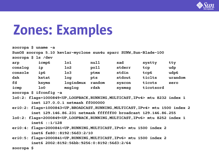

| zooropa $\frac{1}{2}$ uname $-a$                                  |                        |                 |        |        |           |         |  |  |  |
|-------------------------------------------------------------------|------------------------|-----------------|--------|--------|-----------|---------|--|--|--|
| SunOS zooropa 5.10 kevlar-myclone sun4u sparc SUNW, Sun-Blade-100 |                        |                 |        |        |           |         |  |  |  |
| zooropa \$ 1s /dev                                                |                        |                 |        |        |           |         |  |  |  |
| arp                                                               | icmp6                  | 1 <sub>01</sub> | null   | sad    | systty    | tty     |  |  |  |
| conslog                                                           | ip                     | 1 <sub>o2</sub> | poll   | stderr | tcp       | udp     |  |  |  |
| console                                                           | ip6                    | 1 <sub>o3</sub> | ptmx   | stdin  | tcp6      | udp6    |  |  |  |
| dsk                                                               | kstat                  | log             | pts    | stdout | ticlts    | urandom |  |  |  |
| fd                                                                | ksyms                  | logindmux       | random | syscon | ticots    | zero    |  |  |  |
| icmp                                                              | 1 <sub>0</sub>         | msglog          | rdsk   | sysmsg | ticotsord |         |  |  |  |
|                                                                   | zooropa \$ ifconfig -a |                 |        |        |           |         |  |  |  |

- **lo0:2: flags=1000849<UP,LOOPBACK,RUNNING,MULTICAST,IPv4> mtu 8232 index 1 inet 127.0.0.1 netmask ff000000**
- **eri0:2: flags=1000843<UP,BROADCAST,RUNNING,MULTICAST,IPv4> mtu 1500 index 2 inet 129.146.86.231 netmask ffffff00 broadcast 129.146.86.255**
- **lo0:2: flags=2000849<UP,LOOPBACK,RUNNING,MULTICAST,IPv6> mtu 8252 index 1 inet6 ::1/128**
- **eri0:4: flags=2000841<UP,RUNNING,MULTICAST,IPv6> mtu 1500 index 2 inet6 fe80::8192:56d3:2/10**
- **eri0:5: flags=2000841<UP,RUNNING,MULTICAST,IPv6> mtu 1500 index 2 inet6 2002:8192:56bb:9256:0:8192:56d3:2/64**

**zooropa \$**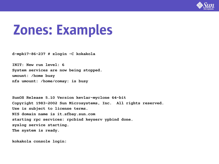

**d-mpk17-86-237 # zlogin -C kokakola**

**INIT: New run level: 6 System services are now being stopped. umount: /home busy nfs umount: /home/comay: is busy**

**SunOS Release 5.10 Version kevlar-myclone 64-bit Copyright 1983-2002 Sun Microsystems, Inc. All rights reserved. Use is subject to license terms. NIS domain name is it.sfbay.sun.com starting rpc services: rpcbind keyserv ypbind done. syslog service starting. The system is ready.**

**kokakola console login:**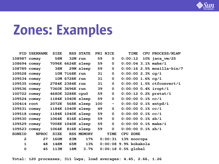

|               | <b>PID USERNAME</b>               |             |            | SIZE RSS STATE      |     | PRI NICE     | TIME                  | CPU PROCESS/NLWP             |
|---------------|-----------------------------------|-------------|------------|---------------------|-----|--------------|-----------------------|------------------------------|
|               | 108987 comay                      |             |            | 58M 32M run         | 59  | $\mathbf 0$  |                       | $0:00:12$ 10% java vm/25     |
|               | 108694 comay 7096K 6624K sleep 59 |             |            |                     |     | $\mathbf 0$  |                       | $0:00:04$ 3.1% make/1        |
|               | 108789 comay                      | <b>38M</b>  |            | 29M sleep 59        |     | 0            |                       | $0:00:16$ 2.5% mozilla-bin/7 |
|               | 109528 comay 10M 7168K run 31     |             |            |                     |     | $\mathbf 0$  | $0:00:00$ 2.3% cg/1   |                              |
|               | 109534 comay 10M 6728K run        |             |            |                     | 31  | $\mathbf 0$  | $0:00:00$ 1.6% cg/1   |                              |
|               | 109535 comay 2784K 2384K run      |             |            |                     | 31  | $\mathbf 0$  |                       | 0:00:00 1.5% ctfconvert/1    |
|               | 109536 comay 7360K 3696K run      |             |            |                     | 39  | $\mathbf 0$  |                       | $0:00:00$ 0.4% iropt/1       |
|               | 100722 comay 4680K 3288K cpu0 59  |             |            |                     |     | $\mathbf 0$  |                       | $0:00:12$ 0.2% $prstat/1$    |
|               | 109524 comay 1184K 1040K sleep 59 |             |            |                     |     | $\mathbf 0$  | $0:00:00$ 0.1% cc/1   |                              |
|               | 100414 root 2072K 568K sleep      |             |            |                     | 100 | $\sim$ $-$   |                       | $0:00:02$ 0.1% xntpd/1       |
|               | 109531 comay 1184K 1040K sleep 49 |             |            |                     |     | $\mathbf 0$  | $0:00:00$ 0.1% cc/1   |                              |
|               | 109518 comay 1184K 1040K sleep 59 |             |            |                     |     | 0            | $0:00:00$ 0.1% cc/1   |                              |
|               | 109530 comay 1064K 816K sleep 59  |             |            |                     |     | $\mathbf 0$  | $0:00:00$ 0.1% sh/1   |                              |
|               | 109529 comay 7008K 1040K sleep 59 |             |            |                     |     | $\mathbf 0$  |                       | $0:00:00$ 0.1% make/1        |
|               | 109523 comay                      |             |            | 1064K 816K sleep 59 |     | $\mathbf 0$  | $0:00:00$ 0.1% sh/1   |                              |
| <b>ZONEID</b> | <b>NPROC</b>                      |             |            | SIZE RSS MEMORY     |     | TIME         | CPU ZONE              |                              |
| $\mathbf{2}$  | 27                                |             | 160M 83M   |                     |     | 17%  0:00:31 | 13% zooropa           |                              |
| $\mathbf{1}$  | 48                                |             |            | 148M 65M 13%        |     |              | 0:00:08 9.9% kokakola |                              |
| $\mathbf 0$   | 45                                | <b>113M</b> | <b>18M</b> | 3.7%                |     |              | $0:00:18$ 0.5% global |                              |

**Total: 120 processes, 311 lwps, load averages: 4.45, 2.66, 1.26**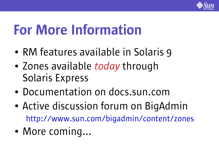

# For More Information

- RM features available in Solaris 9
- Zones available *today* through Solaris Express
- Documentation on docs.sun.com
- Active discussion forum on BigAdmin http://www.sun.com/bigadmin/content/zones
- More coming...